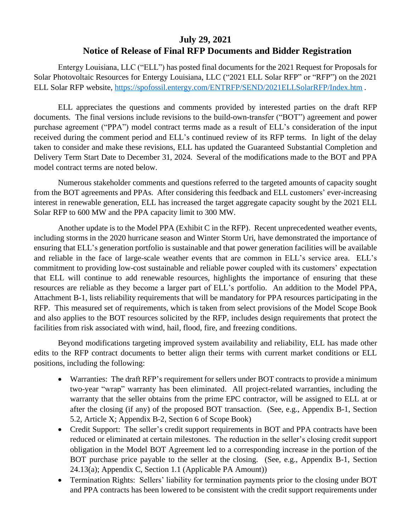## **July 29, 2021 Notice of Release of Final RFP Documents and Bidder Registration**

Entergy Louisiana, LLC ("ELL") has posted final documents for the 2021 Request for Proposals for Solar Photovoltaic Resources for Entergy Louisiana, LLC ("2021 ELL Solar RFP" or "RFP") on the 2021 ELL Solar RFP website,<https://spofossil.entergy.com/ENTRFP/SEND/2021ELLSolarRFP/Index.htm> .

ELL appreciates the questions and comments provided by interested parties on the draft RFP documents. The final versions include revisions to the build-own-transfer ("BOT") agreement and power purchase agreement ("PPA") model contract terms made as a result of ELL's consideration of the input received during the comment period and ELL's continued review of its RFP terms. In light of the delay taken to consider and make these revisions, ELL has updated the Guaranteed Substantial Completion and Delivery Term Start Date to December 31, 2024. Several of the modifications made to the BOT and PPA model contract terms are noted below.

Numerous stakeholder comments and questions referred to the targeted amounts of capacity sought from the BOT agreements and PPAs. After considering this feedback and ELL customers' ever-increasing interest in renewable generation, ELL has increased the target aggregate capacity sought by the 2021 ELL Solar RFP to 600 MW and the PPA capacity limit to 300 MW.

Another update is to the Model PPA (Exhibit C in the RFP). Recent unprecedented weather events, including storms in the 2020 hurricane season and Winter Storm Uri, have demonstrated the importance of ensuring that ELL's generation portfolio is sustainable and that power generation facilities will be available and reliable in the face of large-scale weather events that are common in ELL's service area. ELL's commitment to providing low-cost sustainable and reliable power coupled with its customers' expectation that ELL will continue to add renewable resources, highlights the importance of ensuring that these resources are reliable as they become a larger part of ELL's portfolio. An addition to the Model PPA, Attachment B-1, lists reliability requirements that will be mandatory for PPA resources participating in the RFP. This measured set of requirements, which is taken from select provisions of the Model Scope Book and also applies to the BOT resources solicited by the RFP, includes design requirements that protect the facilities from risk associated with wind, hail, flood, fire, and freezing conditions.

Beyond modifications targeting improved system availability and reliability, ELL has made other edits to the RFP contract documents to better align their terms with current market conditions or ELL positions, including the following:

- Warranties: The draft RFP's requirement for sellers under BOT contracts to provide a minimum two-year "wrap" warranty has been eliminated. All project-related warranties, including the warranty that the seller obtains from the prime EPC contractor, will be assigned to ELL at or after the closing (if any) of the proposed BOT transaction. (See, e.g., Appendix B-1, Section 5.2, Article X; Appendix B-2, Section 6 of Scope Book)
- Credit Support: The seller's credit support requirements in BOT and PPA contracts have been reduced or eliminated at certain milestones. The reduction in the seller's closing credit support obligation in the Model BOT Agreement led to a corresponding increase in the portion of the BOT purchase price payable to the seller at the closing. (See, e.g., Appendix B-1, Section 24.13(a); Appendix C, Section 1.1 (Applicable PA Amount))
- Termination Rights: Sellers' liability for termination payments prior to the closing under BOT and PPA contracts has been lowered to be consistent with the credit support requirements under